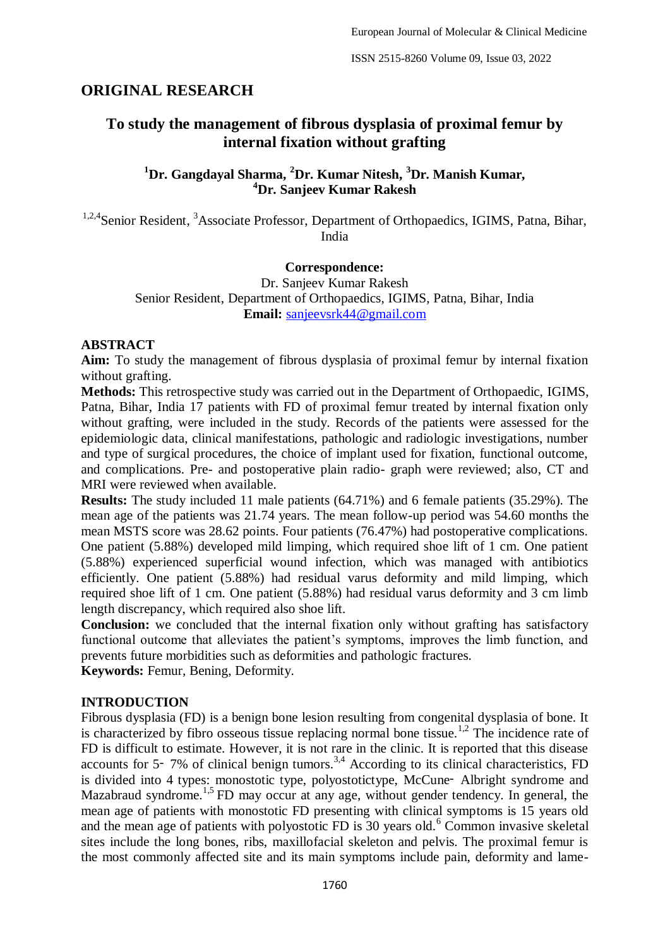## **ORIGINAL RESEARCH**

# **To study the management of fibrous dysplasia of proximal femur by internal fixation without grafting**

## **<sup>1</sup>Dr. Gangdayal Sharma, <sup>2</sup>Dr. Kumar Nitesh, <sup>3</sup>Dr. Manish Kumar, <sup>4</sup>Dr. Sanjeev Kumar Rakesh**

<sup>1,2,4</sup>Senior Resident, <sup>3</sup>Associate Professor, Department of Orthopaedics, IGIMS, Patna, Bihar, India

#### **Correspondence:**

Dr. Sanjeev Kumar Rakesh Senior Resident, Department of Orthopaedics, IGIMS, Patna, Bihar, India **Email:** [sanjeevsrk44@gmail.com](mailto:sanjeevsrk44@gmail.com)

#### **ABSTRACT**

**Aim:** To study the management of fibrous dysplasia of proximal femur by internal fixation without grafting.

**Methods:** This retrospective study was carried out in the Department of Orthopaedic, IGIMS, Patna, Bihar, India 17 patients with FD of proximal femur treated by internal fixation only without grafting, were included in the study. Records of the patients were assessed for the epidemiologic data, clinical manifestations, pathologic and radiologic investigations, number and type of surgical procedures, the choice of implant used for fixation, functional outcome, and complications. Pre- and postoperative plain radio- graph were reviewed; also, CT and MRI were reviewed when available.

**Results:** The study included 11 male patients (64.71%) and 6 female patients (35.29%). The mean age of the patients was 21.74 years. The mean follow-up period was 54.60 months the mean MSTS score was 28.62 points. Four patients (76.47%) had postoperative complications. One patient (5.88%) developed mild limping, which required shoe lift of 1 cm. One patient (5.88%) experienced superficial wound infection, which was managed with antibiotics efficiently. One patient (5.88%) had residual varus deformity and mild limping, which required shoe lift of 1 cm. One patient (5.88%) had residual varus deformity and 3 cm limb length discrepancy, which required also shoe lift.

**Conclusion:** we concluded that the internal fixation only without grafting has satisfactory functional outcome that alleviates the patient's symptoms, improves the limb function, and prevents future morbidities such as deformities and pathologic fractures.

**Keywords:** Femur, Bening, Deformity.

#### **INTRODUCTION**

Fibrous dysplasia (FD) is a benign bone lesion resulting from congenital dysplasia of bone. It is characterized by fibro osseous tissue replacing normal bone tissue.<sup>1,2</sup> The incidence rate of FD is difficult to estimate. However, it is not rare in the clinic. It is reported that this disease accounts for 5–7% of clinical benign tumors.<sup>3,4</sup> According to its clinical characteristics, FD is divided into 4 types: monostotic type, polyostotictype, McCune- Albright syndrome and Mazabraud syndrome.<sup>1,5</sup> FD may occur at any age, without gender tendency. In general, the mean age of patients with monostotic FD presenting with clinical symptoms is 15 years old and the mean age of patients with polyostotic FD is  $30$  years old.<sup>6</sup> Common invasive skeletal sites include the long bones, ribs, maxillofacial skeleton and pelvis. The proximal femur is the most commonly affected site and its main symptoms include pain, deformity and lame-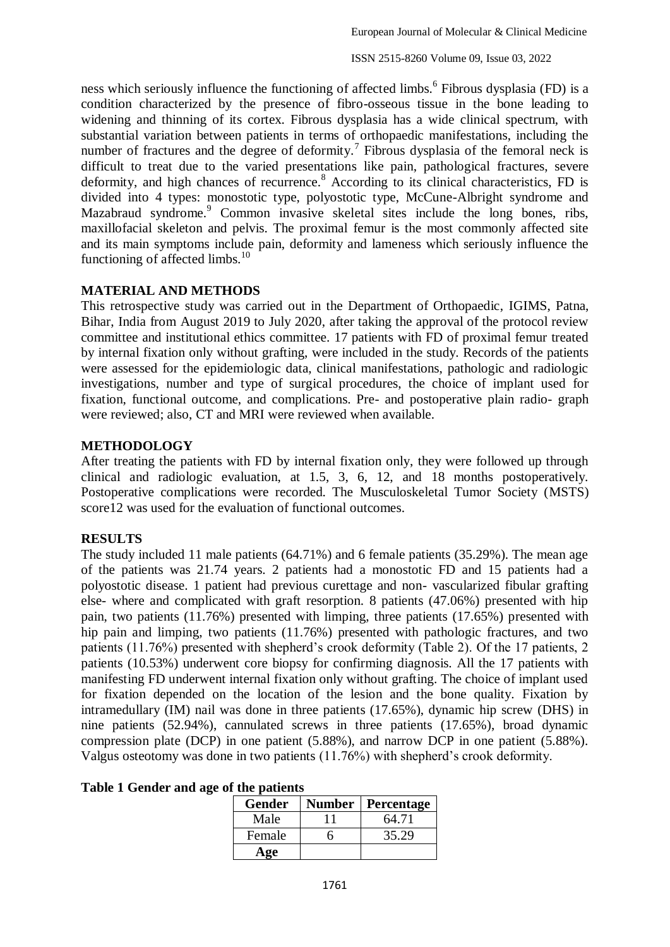ness which seriously influence the functioning of affected limbs.<sup>6</sup> Fibrous dysplasia (FD) is a condition characterized by the presence of fibro-osseous tissue in the bone leading to widening and thinning of its cortex. Fibrous dysplasia has a wide clinical spectrum, with substantial variation between patients in terms of orthopaedic manifestations, including the number of fractures and the degree of deformity.<sup>7</sup> Fibrous dysplasia of the femoral neck is difficult to treat due to the varied presentations like pain, pathological fractures, severe deformity, and high chances of recurrence.<sup>8</sup> According to its clinical characteristics, FD is divided into 4 types: monostotic type, polyostotic type, McCune-Albright syndrome and Mazabraud syndrome.<sup>9</sup> Common invasive skeletal sites include the long bones, ribs, maxillofacial skeleton and pelvis. The proximal femur is the most commonly affected site and its main symptoms include pain, deformity and lameness which seriously influence the functioning of affected limbs.<sup>10</sup>

### **MATERIAL AND METHODS**

This retrospective study was carried out in the Department of Orthopaedic, IGIMS, Patna, Bihar, India from August 2019 to July 2020, after taking the approval of the protocol review committee and institutional ethics committee. 17 patients with FD of proximal femur treated by internal fixation only without grafting, were included in the study. Records of the patients were assessed for the epidemiologic data, clinical manifestations, pathologic and radiologic investigations, number and type of surgical procedures, the choice of implant used for fixation, functional outcome, and complications. Pre- and postoperative plain radio- graph were reviewed; also, CT and MRI were reviewed when available.

### **METHODOLOGY**

After treating the patients with FD by internal fixation only, they were followed up through clinical and radiologic evaluation, at 1.5, 3, 6, 12, and 18 months postoperatively. Postoperative complications were recorded. The Musculoskeletal Tumor Society (MSTS) score12 was used for the evaluation of functional outcomes.

## **RESULTS**

The study included 11 male patients (64.71%) and 6 female patients (35.29%). The mean age of the patients was 21.74 years. 2 patients had a monostotic FD and 15 patients had a polyostotic disease. 1 patient had previous curettage and non- vascularized fibular grafting else- where and complicated with graft resorption. 8 patients (47.06%) presented with hip pain, two patients (11.76%) presented with limping, three patients (17.65%) presented with hip pain and limping, two patients (11.76%) presented with pathologic fractures, and two patients (11.76%) presented with shepherd's crook deformity (Table 2). Of the 17 patients, 2 patients (10.53%) underwent core biopsy for confirming diagnosis. All the 17 patients with manifesting FD underwent internal fixation only without grafting. The choice of implant used for fixation depended on the location of the lesion and the bone quality. Fixation by intramedullary (IM) nail was done in three patients (17.65%), dynamic hip screw (DHS) in nine patients (52.94%), cannulated screws in three patients (17.65%), broad dynamic compression plate (DCP) in one patient (5.88%), and narrow DCP in one patient (5.88%). Valgus osteotomy was done in two patients (11.76%) with shepherd's crook deformity.

#### **Table 1 Gender and age of the patients**

| <b>Gender</b> | <b>Number</b> | Percentage |
|---------------|---------------|------------|
| Male          |               | 64.71      |
| Female        |               | 35.29      |
| Age           |               |            |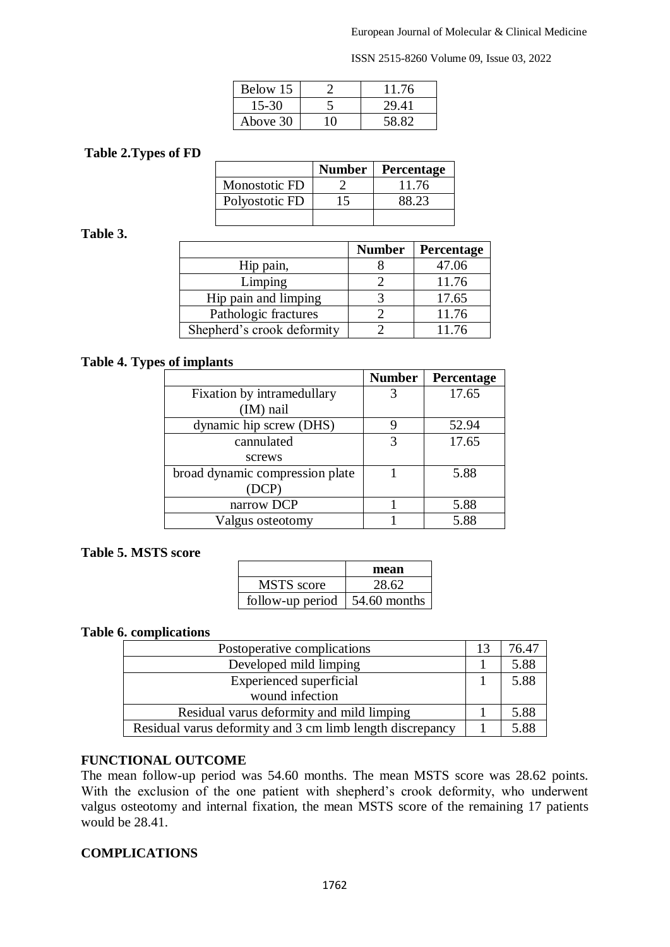ISSN 2515-8260 Volume 09, Issue 03, 2022

| Below 15 |     | 11.76 |
|----------|-----|-------|
| 15-30    |     | 29.41 |
| Above 30 | τΩ. | 58.82 |

## **Table 2.Types of FD**

|                | <b>Number</b> | <b>Percentage</b> |
|----------------|---------------|-------------------|
| Monostotic FD  |               | 11.76             |
| Polyostotic FD |               | 38.23             |
|                |               |                   |

## **Table 3.**

|                            | <b>Number</b> | Percentage |
|----------------------------|---------------|------------|
| Hip pain,                  |               | 47.06      |
| Limping                    |               | 11.76      |
| Hip pain and limping       |               | 17.65      |
| Pathologic fractures       |               | 11.76      |
| Shepherd's crook deformity |               | 11.76      |

### **Table 4. Types of implants**

|                                 | <b>Number</b> | Percentage |
|---------------------------------|---------------|------------|
| Fixation by intramedullary      |               | 17.65      |
| $(IM)$ nail                     |               |            |
| dynamic hip screw (DHS)         | 9             | 52.94      |
| cannulated                      | 3             | 17.65      |
| screws                          |               |            |
| broad dynamic compression plate |               | 5.88       |
| (DCP)                           |               |            |
| narrow DCP                      |               | 5.88       |
| Valgus osteotomy                |               | 5.88       |

#### **Table 5. MSTS score**

|                  | mean         |
|------------------|--------------|
| MSTS score       | 28.62        |
| follow-up period | 54.60 months |

#### **Table 6. complications**

| Postoperative complications                               |  | 76.47 |
|-----------------------------------------------------------|--|-------|
| Developed mild limping                                    |  | 5.88  |
| <b>Experienced</b> superficial                            |  | 5.88  |
| wound infection                                           |  |       |
| Residual varus deformity and mild limping                 |  | 5.88  |
| Residual varus deformity and 3 cm limb length discrepancy |  | 5.88  |

## **FUNCTIONAL OUTCOME**

The mean follow-up period was 54.60 months. The mean MSTS score was 28.62 points. With the exclusion of the one patient with shepherd's crook deformity, who underwent valgus osteotomy and internal fixation, the mean MSTS score of the remaining 17 patients would be 28.41.

#### **COMPLICATIONS**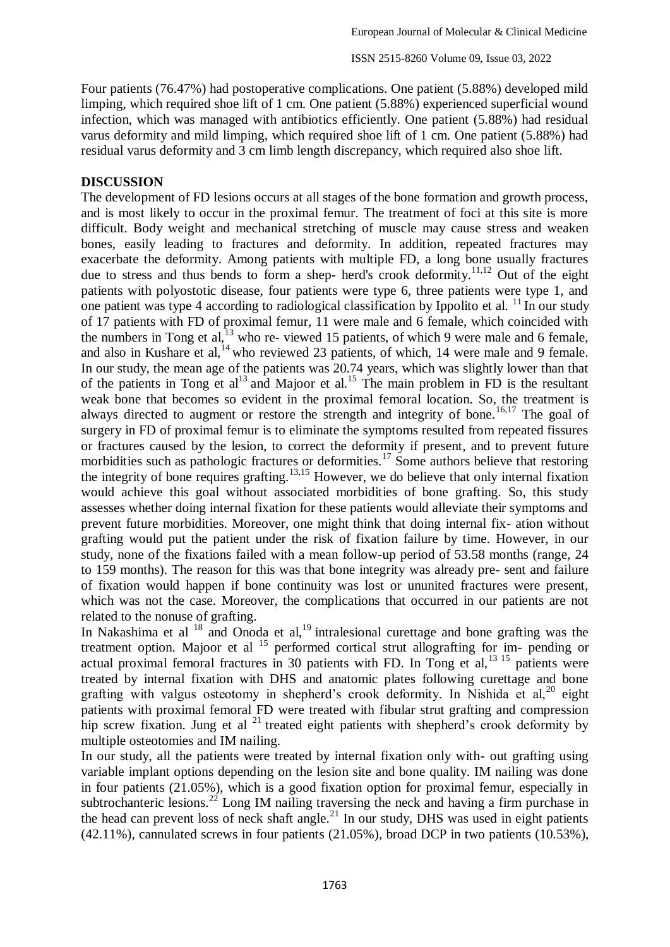Four patients (76.47%) had postoperative complications. One patient (5.88%) developed mild limping, which required shoe lift of 1 cm. One patient (5.88%) experienced superficial wound infection, which was managed with antibiotics efficiently. One patient (5.88%) had residual varus deformity and mild limping, which required shoe lift of 1 cm. One patient (5.88%) had residual varus deformity and 3 cm limb length discrepancy, which required also shoe lift.

#### **DISCUSSION**

The development of FD lesions occurs at all stages of the bone formation and growth process, and is most likely to occur in the proximal femur. The treatment of foci at this site is more difficult. Body weight and mechanical stretching of muscle may cause stress and weaken bones, easily leading to fractures and deformity. In addition, repeated fractures may exacerbate the deformity. Among patients with multiple FD, a long bone usually fractures due to stress and thus bends to form a shep- herd's crook deformity.<sup>11,12</sup> Out of the eight patients with polyostotic disease, four patients were type 6, three patients were type 1, and one patient was type 4 according to radiological classification by Ippolito et al.  $^{11}$  In our study of 17 patients with FD of proximal femur, 11 were male and 6 female, which coincided with the numbers in Tong et al, $^{13}$  who re- viewed 15 patients, of which 9 were male and 6 female, and also in Kushare et al,  $^{14}$  who reviewed 23 patients, of which, 14 were male and 9 female. In our study, the mean age of the patients was 20.74 years, which was slightly lower than that of the patients in Tong et  $al<sup>13</sup>$  and Majoor et al.<sup>15</sup> The main problem in FD is the resultant weak bone that becomes so evident in the proximal femoral location. So, the treatment is always directed to augment or restore the strength and integrity of bone.<sup>16,17</sup> The goal of surgery in FD of proximal femur is to eliminate the symptoms resulted from repeated fissures or fractures caused by the lesion, to correct the deformity if present, and to prevent future morbidities such as pathologic fractures or deformities.<sup>17</sup> Some authors believe that restoring the integrity of bone requires grafting.<sup>13,15</sup> However, we do believe that only internal fixation would achieve this goal without associated morbidities of bone grafting. So, this study assesses whether doing internal fixation for these patients would alleviate their symptoms and prevent future morbidities. Moreover, one might think that doing internal fix- ation without grafting would put the patient under the risk of fixation failure by time. However, in our study, none of the fixations failed with a mean follow-up period of 53.58 months (range, 24 to 159 months). The reason for this was that bone integrity was already pre- sent and failure of fixation would happen if bone continuity was lost or ununited fractures were present, which was not the case. Moreover, the complications that occurred in our patients are not related to the nonuse of grafting.

In Nakashima et al  $^{18}$  and Onoda et al,<sup>19</sup> intralesional curettage and bone grafting was the treatment option. Majoor et al  $15$  performed cortical strut allografting for im- pending or actual proximal femoral fractures in 30 patients with FD. In Tong et al,  $^{13}$  15 patients were treated by internal fixation with DHS and anatomic plates following curettage and bone grafting with valgus osteotomy in shepherd's crook deformity. In Nishida et al,  $^{20}$  eight patients with proximal femoral FD were treated with fibular strut grafting and compression hip screw fixation. Jung et al  $^{21}$  treated eight patients with shepherd's crook deformity by multiple osteotomies and IM nailing.

In our study, all the patients were treated by internal fixation only with- out grafting using variable implant options depending on the lesion site and bone quality. IM nailing was done in four patients (21.05%), which is a good fixation option for proximal femur, especially in subtrochanteric lesions.<sup>22</sup> Long IM nailing traversing the neck and having a firm purchase in the head can prevent loss of neck shaft angle.<sup>21</sup> In our study, DHS was used in eight patients (42.11%), cannulated screws in four patients (21.05%), broad DCP in two patients (10.53%),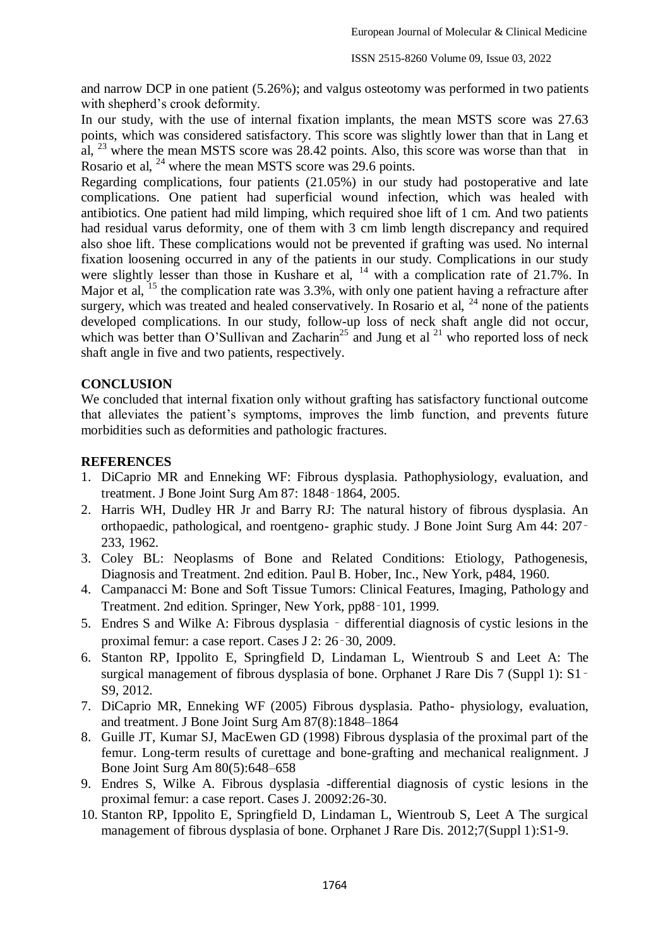and narrow DCP in one patient (5.26%); and valgus osteotomy was performed in two patients with shepherd's crook deformity.

In our study, with the use of internal fixation implants, the mean MSTS score was 27.63 points, which was considered satisfactory. This score was slightly lower than that in Lang et al,  $^{23}$  where the mean MSTS score was 28.42 points. Also, this score was worse than that in Rosario et al, <sup>24</sup> where the mean MSTS score was 29.6 points.

Regarding complications, four patients (21.05%) in our study had postoperative and late complications. One patient had superficial wound infection, which was healed with antibiotics. One patient had mild limping, which required shoe lift of 1 cm. And two patients had residual varus deformity, one of them with 3 cm limb length discrepancy and required also shoe lift. These complications would not be prevented if grafting was used. No internal fixation loosening occurred in any of the patients in our study. Complications in our study were slightly lesser than those in Kushare et al,  $^{14}$  with a complication rate of 21.7%. In Major et al,  $^{15}$  the complication rate was 3.3%, with only one patient having a refracture after surgery, which was treated and healed conservatively. In Rosario et al,  $^{24}$  none of the patients developed complications. In our study, follow-up loss of neck shaft angle did not occur, which was better than O'Sullivan and Zacharin<sup>25</sup> and Jung et al  $^{21}$  who reported loss of neck shaft angle in five and two patients, respectively.

### **CONCLUSION**

We concluded that internal fixation only without grafting has satisfactory functional outcome that alleviates the patient's symptoms, improves the limb function, and prevents future morbidities such as deformities and pathologic fractures.

### **REFERENCES**

- 1. DiCaprio MR and Enneking WF: Fibrous dysplasia. Pathophysiology, evaluation, and treatment. J Bone Joint Surg Am 87: 1848‑1864, 2005.
- 2. Harris WH, Dudley HR Jr and Barry RJ: The natural history of fibrous dysplasia. An orthopaedic, pathological, and roentgeno- graphic study. J Bone Joint Surg Am 44: 207‑ 233, 1962.
- 3. Coley BL: Neoplasms of Bone and Related Conditions: Etiology, Pathogenesis, Diagnosis and Treatment. 2nd edition. Paul B. Hober, Inc., New York, p484, 1960.
- 4. Campanacci M: Bone and Soft Tissue Tumors: Clinical Features, Imaging, Pathology and Treatment. 2nd edition. Springer, New York, pp88‑101, 1999.
- 5. Endres S and Wilke A: Fibrous dysplasia ‑ differential diagnosis of cystic lesions in the proximal femur: a case report. Cases J 2: 26‑30, 2009.
- 6. Stanton RP, Ippolito E, Springfield D, Lindaman L, Wientroub S and Leet A: The surgical management of fibrous dysplasia of bone. Orphanet J Rare Dis 7 (Suppl 1): S1 – S9, 2012.
- 7. DiCaprio MR, Enneking WF (2005) Fibrous dysplasia. Patho- physiology, evaluation, and treatment. J Bone Joint Surg Am 87(8):1848–1864
- 8. Guille JT, Kumar SJ, MacEwen GD (1998) Fibrous dysplasia of the proximal part of the femur. Long-term results of curettage and bone-grafting and mechanical realignment. J Bone Joint Surg Am 80(5):648–658
- 9. Endres S, Wilke A. Fibrous dysplasia -differential diagnosis of cystic lesions in the proximal femur: a case report. Cases J. 20092:26-30.
- 10. Stanton RP, Ippolito E, Springfield D, Lindaman L, Wientroub S, Leet A The surgical management of fibrous dysplasia of bone. Orphanet J Rare Dis. 2012;7(Suppl 1):S1-9.